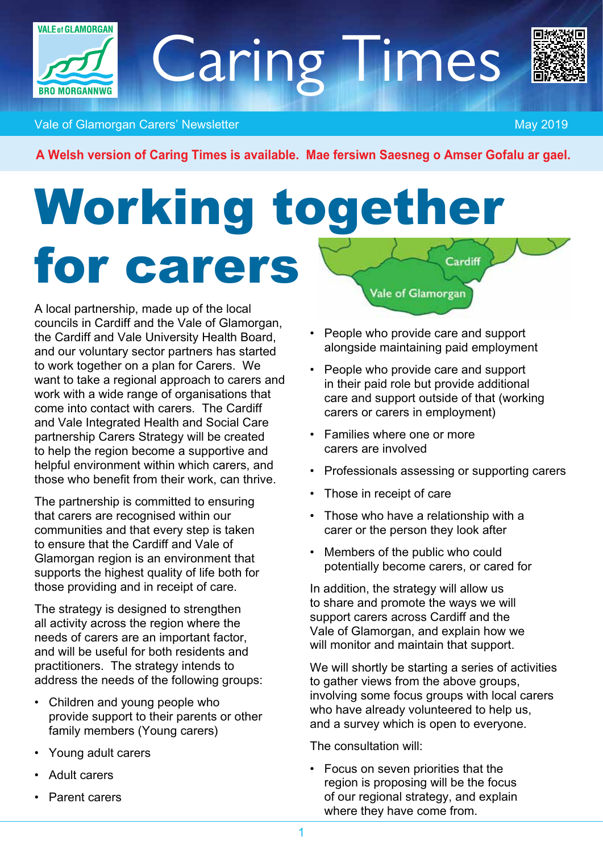

**Vale of Glamorgan Carers' Newsletter May 2019** National Activities of May 2019

*A Welsh version of Caring Times is available. Mae fersiwn Saesneg o Amser Gofalu ar gael.*

Caring Times

### Working together for carers Cardiff **Vale of Glamorgan**

*A local partnership, made up of the local councils in Cardiff and the Vale of Glamorgan, the Cardiff and Vale University Health Board, and our voluntary sector partners has started to work together on a plan for Carers. We want to take a regional approach to carers and work with a wide range of organisations that come into contact with carers. The Cardiff and Vale Integrated Health and Social Care partnership Carers Strategy will be created to help the region become a supportive and helpful environment within which carers, and those who benefit from their work, can thrive.*

*The partnership is committed to ensuring that carers are recognised within our communities and that every step is taken to ensure that the Cardiff and Vale of Glamorgan region is an environment that supports the highest quality of life both for those providing and in receipt of care.* 

*The strategy is designed to strengthen all activity across the region where the needs of carers are an important factor, and will be useful for both residents and practitioners. The strategy intends to address the needs of the following groups:*

- *• Children and young people who provide support to their parents or other family members (Young carers)*
- *• Young adult carers*
- *• Adult carers*
- *• Parent carers*
- *• People who provide care and support alongside maintaining paid employment*
- *• People who provide care and support in their paid role but provide additional care and support outside of that (working carers or carers in employment)*
- *• Families where one or more carers are involved*
- *• Professionals assessing or supporting carers*
- *• Those in receipt of care*
- *• Those who have a relationship with a carer or the person they look after*
- *• Members of the public who could potentially become carers, or cared for*

*In addition, the strategy will allow us to share and promote the ways we will support carers across Cardiff and the Vale of Glamorgan, and explain how we will monitor and maintain that support.*

*We will shortly be starting a series of activities to gather views from the above groups, involving some focus groups with local carers who have already volunteered to help us, and a survey which is open to everyone.*

*The consultation will:*

*• Focus on seven priorities that the region is proposing will be the focus of our regional strategy, and explain where they have come from.*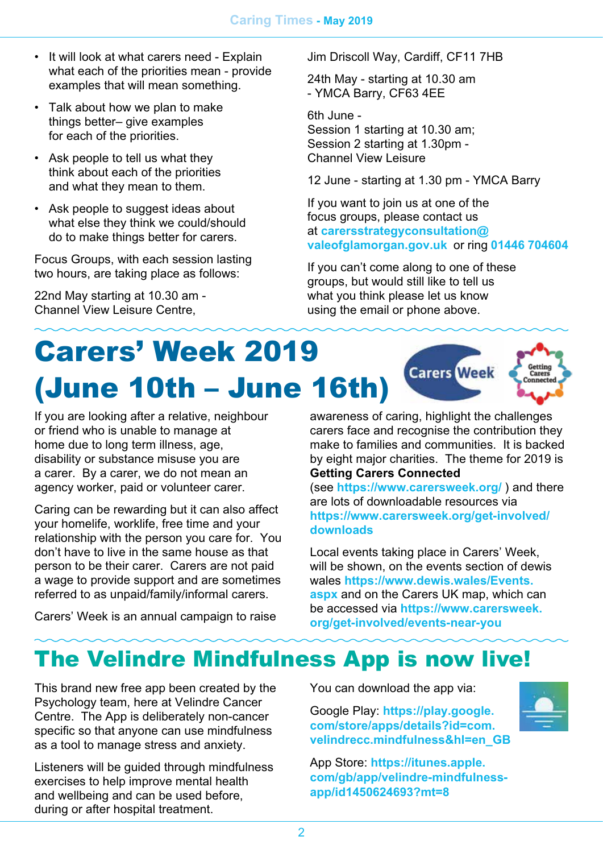- *• It will look at what carers need Explain what each of the priorities mean - provide examples that will mean something.*
- *• Talk about how we plan to make things better– give examples for each of the priorities.*
- *• Ask people to tell us what they think about each of the priorities and what they mean to them.*
- *• Ask people to suggest ideas about what else they think we could/should do to make things better for carers.*

*Focus Groups, with each session lasting two hours, are taking place as follows:*

*22nd May starting at 10.30 am - Channel View Leisure Centre,*

*Jim Driscoll Way, Cardiff, CF11 7HB*

*24th May - starting at 10.30 am - YMCA Barry, CF63 4EE* 

*6th June - Session 1 starting at 10.30 am; Session 2 starting at 1.30pm - Channel View Leisure* 

*12 June - starting at 1.30 pm - YMCA Barry* 

*If you want to join us at one of the focus groups, please contact us at [carersstrategyconsultation@](mailto:carersstrategyconsultation%40valeofglamorgan.gov.uk?subject=) [valeofglamorgan.gov.uk](mailto:carersstrategyconsultation%40valeofglamorgan.gov.uk?subject=) or ring 01446 704604*

*If you can't come along to one of these groups, but would still like to tell us what you think please let us know using the email or phone above.*

### Carers' Week 2019 **Carers** Week (June 10th – June 16th)

*If you are looking after a relative, neighbour or friend who is unable to manage at home due to long term illness, age, disability or substance misuse you are a carer. By a carer, we do not mean an agency worker, paid or volunteer carer.*

*Caring can be rewarding but it can also affect your homelife, worklife, free time and your relationship with the person you care for. You don't have to live in the same house as that person to be their carer. Carers are not paid a wage to provide support and are sometimes referred to as unpaid/family/informal carers.*

*Carers' Week is an annual campaign to raise* 

*awareness of caring, highlight the challenges carers face and recognise the contribution they make to families and communities. It is backed by eight major charities. The theme for 2019 is Getting Carers Connected*

*(see <https://www.carersweek.org/> ) and there are lots of downloadable resources via [https://www.carersweek.org/get-involved/](https://www.carersweek.org/get-involved/downloads) [downloads](https://www.carersweek.org/get-involved/downloads)*

*Local events taking place in Carers' Week, will be shown, on the events section of dewis wales [https://www.dewis.wales/Events.](https://www.dewis.wales/Events.aspx) [aspx](https://www.dewis.wales/Events.aspx) and on the Carers UK map, which can be accessed via [https://www.carersweek.](https://www.carersweek.org/get-involved/events-near-you) [org/get-involved/events-near-you](https://www.carersweek.org/get-involved/events-near-you)*

### The Velindre Mindfulness App is now live!

*This brand new free app been created by the Psychology team, here at Velindre Cancer Centre. The App is deliberately non-cancer specific so that anyone can use mindfulness as a tool to manage stress and anxiety.*

*Listeners will be guided through mindfulness exercises to help improve mental health and wellbeing and can be used before, during or after hospital treatment.*

*You can download the app via:*

*Google Play: [https://play.google.](https://play.google.com/store/apps/details?id=com.velindrecc.mindfulness&hl=en_GB) [com/store/apps/details?id=com.](https://play.google.com/store/apps/details?id=com.velindrecc.mindfulness&hl=en_GB) [velindrecc.mindfulness&hl=en\\_GB](https://play.google.com/store/apps/details?id=com.velindrecc.mindfulness&hl=en_GB)*

*App Store: [https://itunes.apple.](https://itunes.apple.com/gb/app/velindre-mindfulness-app/id1450624693?mt=8) [com/gb/app/velindre-mindfulness](https://itunes.apple.com/gb/app/velindre-mindfulness-app/id1450624693?mt=8)[app/id1450624693?mt=8](https://itunes.apple.com/gb/app/velindre-mindfulness-app/id1450624693?mt=8)*

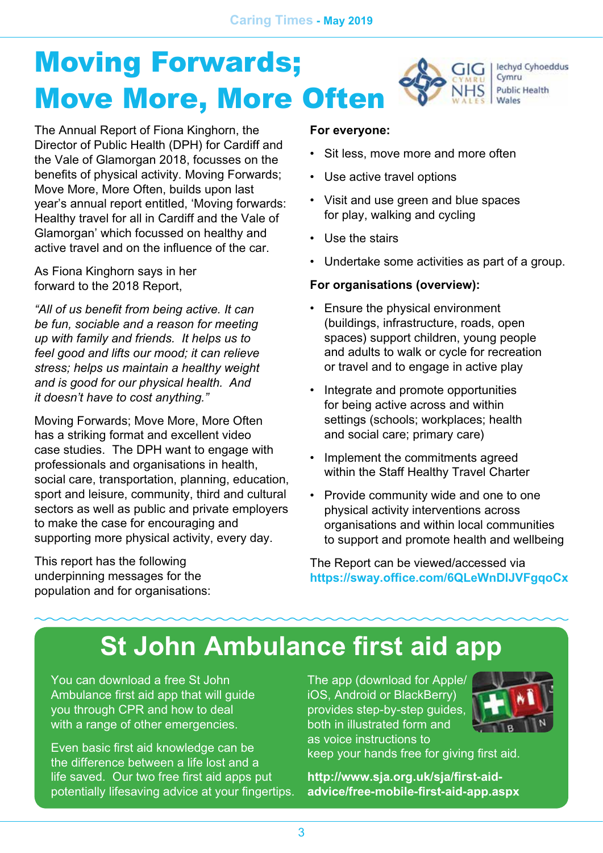#### Moving Forwards; lechyd Cyhoeddus GIG Cymru **Public Health** Move More, More Often

*The Annual Report of Fiona Kinghorn, the Director of Public Health (DPH) for Cardiff and the Vale of Glamorgan 2018, focusses on the benefits of physical activity. Moving Forwards; Move More, More Often, builds upon last year's annual report entitled, 'Moving forwards: Healthy travel for all in Cardiff and the Vale of Glamorgan' which focussed on healthy and active travel and on the influence of the car.*

*As Fiona Kinghorn says in her forward to the 2018 Report,*

*"All of us benefit from being active. It can be fun, sociable and a reason for meeting up with family and friends. It helps us to feel good and lifts our mood; it can relieve stress; helps us maintain a healthy weight and is good for our physical health. And it doesn't have to cost anything."*

*Moving Forwards; Move More, More Often has a striking format and excellent video case studies. The DPH want to engage with professionals and organisations in health, social care, transportation, planning, education, sport and leisure, community, third and cultural sectors as well as public and private employers to make the case for encouraging and supporting more physical activity, every day.*

*This report has the following underpinning messages for the population and for organisations:*

#### *For everyone:*

- *• Sit less, move more and more often*
- *• Use active travel options*
- *• Visit and use green and blue spaces for play, walking and cycling*
- *• Use the stairs*
- *• Undertake some activities as part of a group.*

#### *For organisations (overview):*

- *• Ensure the physical environment (buildings, infrastructure, roads, open spaces) support children, young people and adults to walk or cycle for recreation or travel and to engage in active play*
- *• Integrate and promote opportunities for being active across and within settings (schools; workplaces; health and social care; primary care)*
- *• Implement the commitments agreed within the Staff Healthy Travel Charter*
- *• Provide community wide and one to one physical activity interventions across organisations and within local communities to support and promote health and wellbeing*

*The Report can be viewed/accessed via <https://sway.office.com/6QLeWnDlJVFgqoCx>* 

### *St John Ambulance first aid app*

*You can download a free St John Ambulance first aid app that will guide you through CPR and how to deal with a range of other emergencies.*

*Even basic first aid knowledge can be the difference between a life lost and a life saved. Our two free first aid apps put potentially lifesaving advice at your fingertips.*

*The app (download for Apple/ iOS, Android or BlackBerry) provides step-by-step guides, both in illustrated form and as voice instructions to* 



*keep your hands free for giving first aid.*

*[http://www.sja.org.uk/sja/first-aid](http://www.sja.org.uk/sja/first-aid-advice/free-mobile-first-aid-app.aspx)[advice/free-mobile-first-aid-app.aspx](http://www.sja.org.uk/sja/first-aid-advice/free-mobile-first-aid-app.aspx)*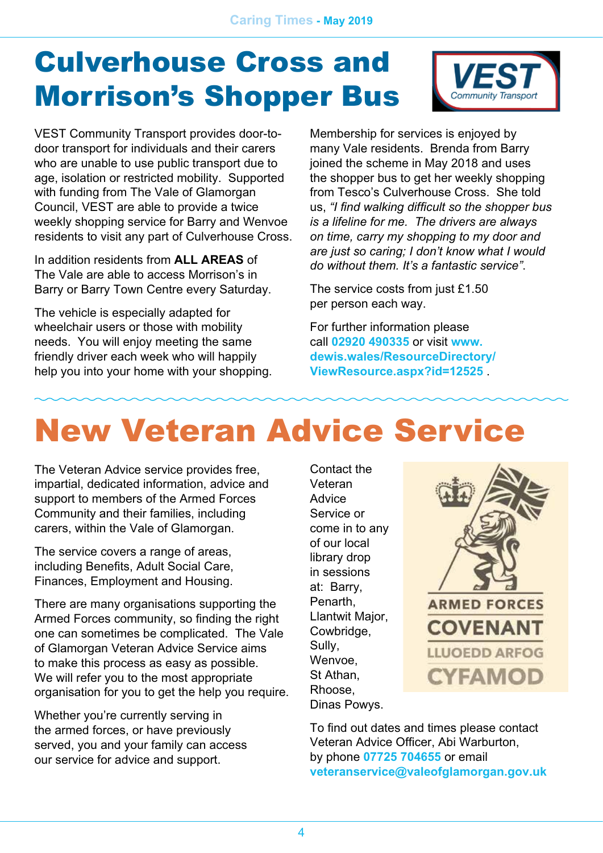## Culverhouse Cross and Morrison's Shopper Bus



*VEST Community Transport provides door-todoor transport for individuals and their carers who are unable to use public transport due to age, isolation or restricted mobility. Supported with funding from The Vale of Glamorgan Council, VEST are able to provide a twice weekly shopping service for Barry and Wenvoe residents to visit any part of Culverhouse Cross.*

*In addition residents from ALL AREAS of The Vale are able to access Morrison's in Barry or Barry Town Centre every Saturday.*

*The vehicle is especially adapted for wheelchair users or those with mobility needs. You will enjoy meeting the same friendly driver each week who will happily help you into your home with your shopping.* *Membership for services is enjoyed by many Vale residents. Brenda from Barry joined the scheme in May 2018 and uses the shopper bus to get her weekly shopping from Tesco's Culverhouse Cross. She told us, "I find walking difficult so the shopper bus is a lifeline for me. The drivers are always on time, carry my shopping to my door and are just so caring; I don't know what I would do without them. It's a fantastic service".*

*The service costs from just £1.50 per person each way.* 

*For further information please call 02920 490335 or visit [www.](http://www.dewis.wales/ResourceDirectory/ViewResource.aspx?id=12525) [dewis.wales/ResourceDirectory/](http://www.dewis.wales/ResourceDirectory/ViewResource.aspx?id=12525) [ViewResource.aspx?id=12525](http://www.dewis.wales/ResourceDirectory/ViewResource.aspx?id=12525) .*

## New Veteran Advice Service

*The Veteran Advice service provides free, impartial, dedicated information, advice and support to members of the Armed Forces Community and their families, including carers, within the Vale of Glamorgan.*

*The service covers a range of areas, including Benefits, Adult Social Care, Finances, Employment and Housing.*

*There are many organisations supporting the Armed Forces community, so finding the right one can sometimes be complicated. The Vale of Glamorgan Veteran Advice Service aims to make this process as easy as possible. We will refer you to the most appropriate organisation for you to get the help you require.*

*Whether you're currently serving in the armed forces, or have previously served, you and your family can access our service for advice and support.*

*Contact the Veteran Advice Service or come in to any of our local library drop in sessions at: Barry, Penarth, Llantwit Major, Cowbridge, Sully, Wenvoe, St Athan, Rhoose, Dinas Powys.*



*To find out dates and times please contact Veteran Advice Officer, Abi Warburton, by phone 07725 704655 or email [veteranservice@valeofglamorgan.gov.uk](mailto:veteranservice%40valeofglamorgan.gov.uk?subject=)*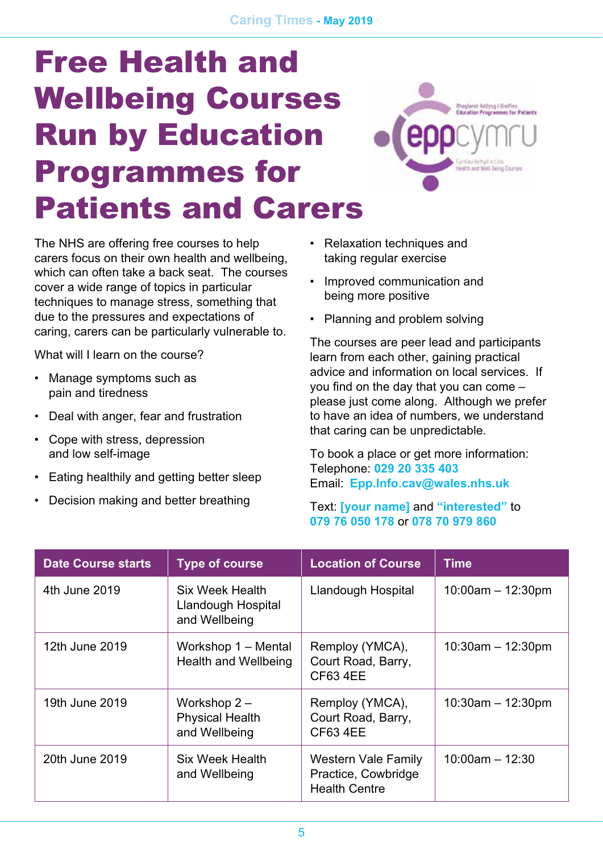## Free Health and Wellbeing Courses Run by Education Programmes for Patients and Carers



*The NHS are offering free courses to help carers focus on their own health and wellbeing, which can often take a back seat. The courses cover a wide range of topics in particular techniques to manage stress, something that due to the pressures and expectations of caring, carers can be particularly vulnerable to.*

*What will I learn on the course?*

- *• Manage symptoms such as pain and tiredness*
- *• Deal with anger, fear and frustration*
- *• Cope with stress, depression and low self-image*
- *• Eating healthily and getting better sleep*
- *• Decision making and better breathing*
- *• Relaxation techniques and taking regular exercise*
- *• Improved communication and being more positive*
- *• Planning and problem solving*

*The courses are peer lead and participants learn from each other, gaining practical advice and information on local services. If you find on the day that you can come – please just come along. Although we prefer to have an idea of numbers, we understand that caring can be unpredictable.*

*To book a place or get more information: Telephone: 029 20 335 403 Email: [Epp.Info.cav@wales.nhs.uk](mailto:Epp.Info.cav%40wales.nhs.uk?subject=)*

#### *Text: [your name] and "interested" to 079 76 050 178 or 078 70 979 860*

| <b>Date Course starts</b> | <b>Type of course</b>                                    | <b>Location of Course</b>                                                 | <b>Time</b>            |
|---------------------------|----------------------------------------------------------|---------------------------------------------------------------------------|------------------------|
| 4th June 2019             | Six Week Health<br>Llandough Hospital<br>and Wellbeing   | Llandough Hospital                                                        | $10:00$ am $-12:30$ pm |
| 12th June 2019            | Workshop 1 – Mental<br>Health and Wellbeing              | Remploy (YMCA),<br>Court Road, Barry,<br><b>CF63 4EE</b>                  | $10:30$ am $-12:30$ pm |
| 19th June 2019            | Workshop $2-$<br><b>Physical Health</b><br>and Wellbeing | Remploy (YMCA),<br>Court Road, Barry,<br><b>CF63 4EE</b>                  | $10:30$ am $-12:30$ pm |
| 20th June 2019            | Six Week Health<br>and Wellbeing                         | <b>Western Vale Family</b><br>Practice, Cowbridge<br><b>Health Centre</b> | $10:00$ am $- 12:30$   |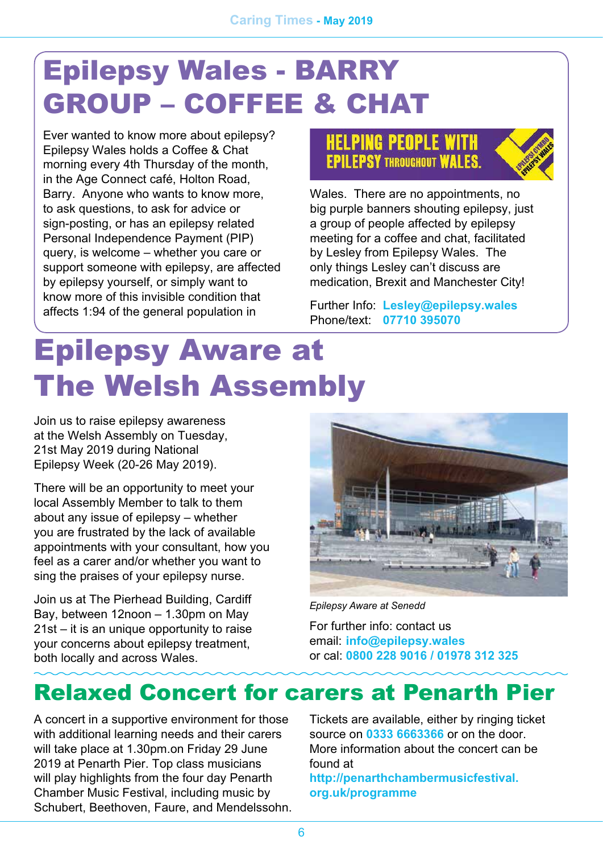## Epilepsy Wales - BARRY GROUP – COFFEE & CHAT

*Ever wanted to know more about epilepsy? Epilepsy Wales holds a Coffee & Chat morning every 4th Thursday of the month, in the Age Connect café, Holton Road, Barry. Anyone who wants to know more, to ask questions, to ask for advice or sign-posting, or has an epilepsy related Personal Independence Payment (PIP) query, is welcome – whether you care or support someone with epilepsy, are affected by epilepsy yourself, or simply want to know more of this invisible condition that affects 1:94 of the general population in* 

### **HELPING PEOPLE WITH EPILEPSY THROUGHOUT WALES.**



*Wales. There are no appointments, no big purple banners shouting epilepsy, just a group of people affected by epilepsy meeting for a coffee and chat, facilitated by Lesley from Epilepsy Wales. The only things Lesley can't discuss are medication, Brexit and Manchester City!* 

*Further Info: [Lesley@epilepsy.wales](mailto:Lesley%40epilepsy.wales?subject=) Phone/text: 07710 395070*

## Epilepsy Aware at The Welsh Assembly

*Join us to raise epilepsy awareness at the Welsh Assembly on Tuesday, 21st May 2019 during National Epilepsy Week (20-26 May 2019).*

*There will be an opportunity to meet your local Assembly Member to talk to them about any issue of epilepsy – whether you are frustrated by the lack of available appointments with your consultant, how you feel as a carer and/or whether you want to sing the praises of your epilepsy nurse.*

*Join us at The Pierhead Building, Cardiff Bay, between 12noon – 1.30pm on May 21st – it is an unique opportunity to raise your concerns about epilepsy treatment, both locally and across Wales.* 



*Epilepsy Aware at Senedd*

*For further info: contact us email: [info@epilepsy.wales](mailto:info%40epilepsy.wales?subject=) or cal: 0800 228 9016 / 01978 312 325* 

### Relaxed Concert for carers at Penarth Pier

*A concert in a supportive environment for those with additional learning needs and their carers will take place at 1.30pm.on Friday 29 June 2019 at Penarth Pier. Top class musicians will play highlights from the four day Penarth Chamber Music Festival, including music by Schubert, Beethoven, Faure, and Mendelssohn.* 

*Tickets are available, either by ringing ticket source on 0333 6663366 or on the door. More information about the concert can be found at*

*[http://penarthchambermusicfestival.](http://penarthchambermusicfestival.org.uk/programme) [org.uk/programme](http://penarthchambermusicfestival.org.uk/programme)*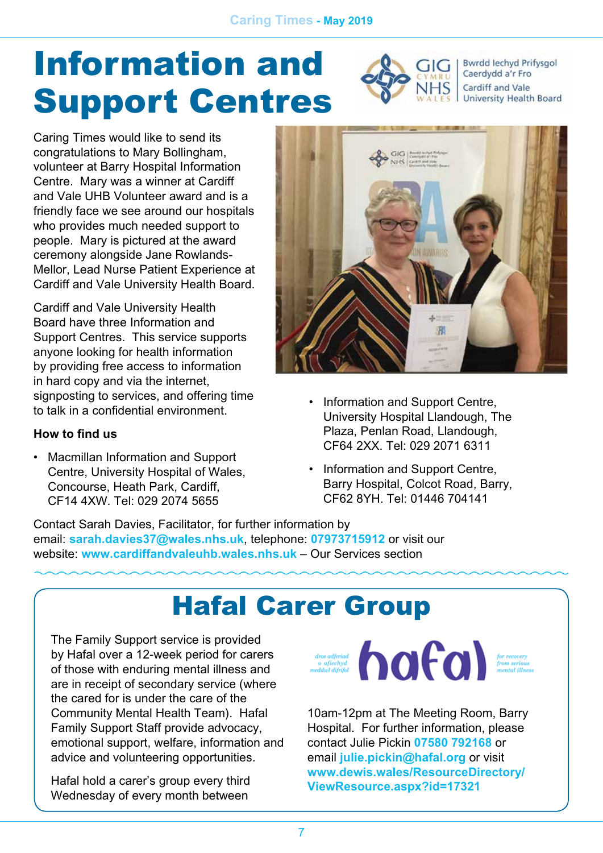# Information and Support Centres



**Bwrdd lechyd Prifysgol** Caerdydd a'r Fro Cardiff and Vale University Health Board

*Caring Times would like to send its congratulations to Mary Bollingham, volunteer at Barry Hospital Information Centre. Mary was a winner at Cardiff and Vale UHB Volunteer award and is a friendly face we see around our hospitals who provides much needed support to people. Mary is pictured at the award ceremony alongside Jane Rowlands-Mellor, Lead Nurse Patient Experience at Cardiff and Vale University Health Board.*

*Cardiff and Vale University Health Board have three Information and Support Centres. This service supports anyone looking for health information by providing free access to information in hard copy and via the internet, signposting to services, and offering time to talk in a confidential environment.*

### *How to find us*

*• Macmillan Information and Support Centre, University Hospital of Wales, Concourse, Heath Park, Cardiff, CF14 4XW. Tel: 029 2074 5655*



- *• Information and Support Centre, University Hospital Llandough, The Plaza, Penlan Road, Llandough, CF64 2XX. Tel: 029 2071 6311*
- *• Information and Support Centre, Barry Hospital, Colcot Road, Barry, CF62 8YH. Tel: 01446 704141*

*Contact Sarah Davies, Facilitator, for further information by email: [sarah.davies37@wales.nhs.uk](mailto:sarah.davies37%40wales.nhs.uk?subject=), telephone: 07973715912 or visit our website: [www.cardiffandvaleuhb.wales.nhs.uk](http://www.cardiffandvaleuhb.wales.nhs.uk) – Our Services section*

### Hafal Carer Group

*The Family Support service is provided by Hafal over a 12-week period for carers of those with enduring mental illness and are in receipt of secondary service (where the cared for is under the care of the Community Mental Health Team). Hafal Family Support Staff provide advocacy, emotional support, welfare, information and advice and volunteering opportunities.*

*Hafal hold a carer's group every third Wednesday of every month between* 

dros adjeriad o afiechyd contect of the covery from serious from serious from serious from serious

*10am-12pm at The Meeting Room, Barry Hospital. For further information, please contact Julie Pickin 07580 792168 or email [julie.pickin@hafal.org](mailto:julie.pickin%40hafal.org?subject=) or visit [www.dewis.wales/ResourceDirectory/](http://www.dewis.wales/ResourceDirectory/ViewResource.aspx?id=17321) [ViewResource.aspx?id=17321](http://www.dewis.wales/ResourceDirectory/ViewResource.aspx?id=17321)*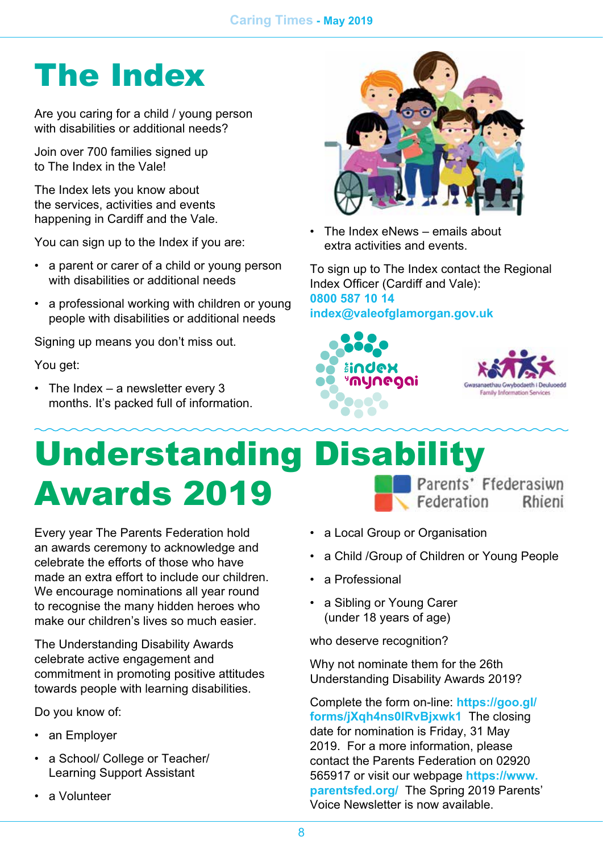## The Index

*Are you caring for a child / young person with disabilities or additional needs?*

*Join over 700 families signed up to The Index in the Vale!*

*The Index lets you know about the services, activities and events happening in Cardiff and the Vale.*

*You can sign up to the Index if you are:*

- *• a parent or carer of a child or young person with disabilities or additional needs*
- *• a professional working with children or young people with disabilities or additional needs*

*Signing up means you don't miss out.*

*You get:*

*• The Index – a newsletter every 3 months. It's packed full of information.*



*• The Index eNews – emails about extra activities and events.*

*To sign up to The Index contact the Regional Index Officer (Cardiff and Vale): 0800 587 10 14 [index@valeofglamorgan.gov.uk](mailto:index%40valeofglamorgan.gov.uk?subject=)*





### Understanding Disability Parents' Ffederasiwn Awards 2019 Federation Rhieni

*Every year The Parents Federation hold an awards ceremony to acknowledge and celebrate the efforts of those who have made an extra effort to include our children. We encourage nominations all year round to recognise the many hidden heroes who make our children's lives so much easier.*

*The Understanding Disability Awards celebrate active engagement and commitment in promoting positive attitudes towards people with learning disabilities.*

*Do you know of:*

- *• an Employer*
- *• a School/ College or Teacher/ Learning Support Assistant*
- *• a Volunteer*
- *• a Local Group or Organisation*
- *• a Child /Group of Children or Young People*
- *• a Professional*
- *• a Sibling or Young Carer (under 18 years of age)*

*who deserve recognition?*

*Why not nominate them for the 26th Understanding Disability Awards 2019?*

*Complete the form on-line: [https://goo.gl/](https://goo.gl/forms/jXqh4ns0IRvBjxwk1) [forms/jXqh4ns0IRvBjxwk1](https://goo.gl/forms/jXqh4ns0IRvBjxwk1) The closing date for nomination is Friday, 31 May 2019. For a more information, please contact the Parents Federation on 02920 565917 or visit our webpage [https://www.](https://www.parentsfed.org/) [parentsfed.org/](https://www.parentsfed.org/) The Spring 2019 Parents' Voice Newsletter is now available.*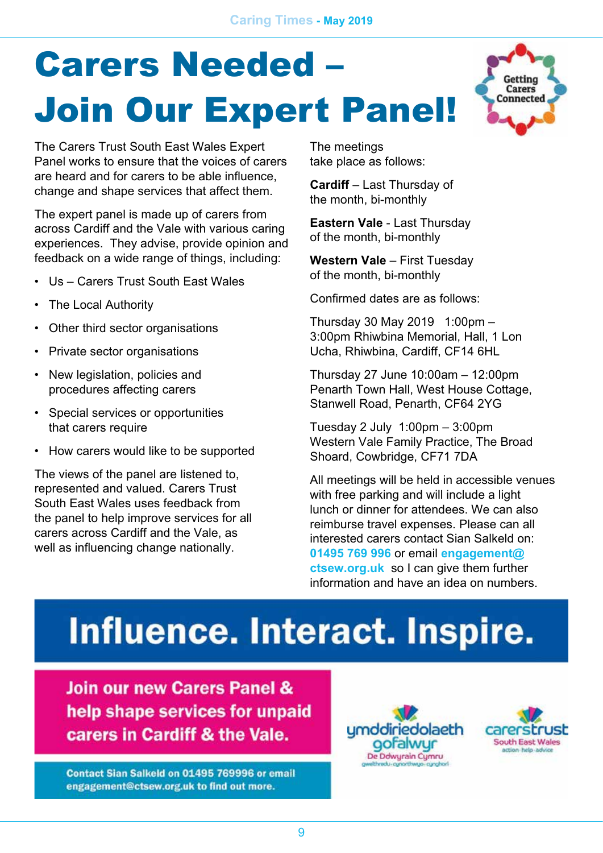# **Carers Needed** Join Our Expert Panel!



*The Carers Trust South East Wales Expert Panel works to ensure that the voices of carers are heard and for carers to be able influence, change and shape services that affect them.*

*The expert panel is made up of carers from across Cardiff and the Vale with various caring experiences. They advise, provide opinion and feedback on a wide range of things, including:*

- *• Us Carers Trust South East Wales*
- *• The Local Authority*
- *• Other third sector organisations*
- *• Private sector organisations*
- *• New legislation, policies and procedures affecting carers*
- *• Special services or opportunities that carers require*
- *• How carers would like to be supported*

*The views of the panel are listened to, represented and valued. Carers Trust South East Wales uses feedback from the panel to help improve services for all carers across Cardiff and the Vale, as well as influencing change nationally.*

*The meetings take place as follows:* 

*Cardiff – Last Thursday of the month, bi-monthly*

*Eastern Vale - Last Thursday of the month, bi-monthly*

*Western Vale – First Tuesday of the month, bi-monthly*

*Confirmed dates are as follows:*

*Thursday 30 May 2019 1:00pm – 3:00pm Rhiwbina Memorial, Hall, 1 Lon Ucha, Rhiwbina, Cardiff, CF14 6HL*

*Thursday 27 June 10:00am – 12:00pm Penarth Town Hall, West House Cottage, Stanwell Road, Penarth, CF64 2YG*

*Tuesday 2 July 1:00pm – 3:00pm Western Vale Family Practice, The Broad Shoard, Cowbridge, CF71 7DA*

*All meetings will be held in accessible venues with free parking and will include a light lunch or dinner for attendees. We can also reimburse travel expenses. Please can all interested carers contact Sian Salkeld on: 01495 769 996 or email [engagement@](mailto:engagement%40ctsew.org.uk?subject=) [ctsew.org.uk](mailto:engagement%40ctsew.org.uk?subject=) so I can give them further information and have an idea on numbers.* 

# Influence. Interact. Inspire.

Join our new Carers Panel & help shape services for unpaid carers in Cardiff & the Vale.

Contact Sian Salkeld on 01495 769996 or email engagement@ctsew.org.uk to find out more.



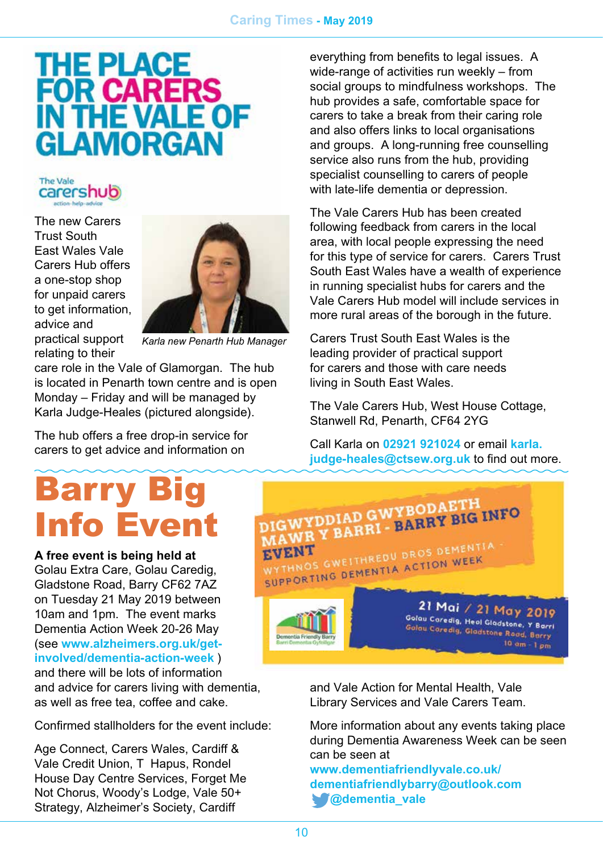#### *Caring Times - May 2019*

# THE PLACE<br>FOR CARERS **IN THE VA GLAMORGAN**



*The new Carers Trust South East Wales Vale Carers Hub offers a one-stop shop for unpaid carers to get information, advice and practical support relating to their* 



*Karla new Penarth Hub Manager*

*care role in the Vale of Glamorgan. The hub is located in Penarth town centre and is open Monday – Friday and will be managed by Karla Judge-Heales (pictured alongside).*

*The hub offers a free drop-in service for carers to get advice and information on* 

## Barry Big Info Event

#### *A free event is being held at*

*Golau Extra Care, Golau Caredig, Gladstone Road, Barry CF62 7AZ on Tuesday 21 May 2019 between 10am and 1pm. The event marks Dementia Action Week 20-26 May (see [www.alzheimers.org.uk/get](http://www.alzheimers.org.uk/get-involved/dementia-action-week)[involved/dementia-action-week](http://www.alzheimers.org.uk/get-involved/dementia-action-week) ) and there will be lots of information* 

*and advice for carers living with dementia, as well as free tea, coffee and cake.*

*Confirmed stallholders for the event include:*

*Age Connect, Carers Wales, Cardiff & Vale Credit Union, Tŷ Hapus, Rondel House Day Centre Services, Forget Me Not Chorus, Woody's Lodge, Vale 50+ Strategy, Alzheimer's Society, Cardiff* 

*everything from benefits to legal issues. A wide-range of activities run weekly – from social groups to mindfulness workshops. The hub provides a safe, comfortable space for carers to take a break from their caring role and also offers links to local organisations and groups. A long-running free counselling service also runs from the hub, providing specialist counselling to carers of people with late-life dementia or depression.*

*The Vale Carers Hub has been created following feedback from carers in the local area, with local people expressing the need for this type of service for carers. Carers Trust South East Wales have a wealth of experience in running specialist hubs for carers and the Vale Carers Hub model will include services in more rural areas of the borough in the future.*

*Carers Trust South East Wales is the leading provider of practical support for carers and those with care needs living in South East Wales.*

*The Vale Carers Hub, West House Cottage, Stanwell Rd, Penarth, CF64 2YG*

*Call Karla on 02921 921024 or email [karla.](mailto:karla.judge-heales%40ctsew.org.uk?subject=) [judge-heales@ctsew.org.uk](mailto:karla.judge-heales%40ctsew.org.uk?subject=) to find out more.*



*and Vale Action for Mental Health, Vale Library Services and Vale Carers Team.*

*More information about any events taking place during Dementia Awareness Week can be seen can be seen at*

*[www.dementiafriendlyvale.co.uk/](http://www.dementiafriendlyvale.co.uk/) [dementiafriendlybarry@outlook.com](mailto:dementiafriendlybarry%40outlook.com?subject=) @dementia\_vale*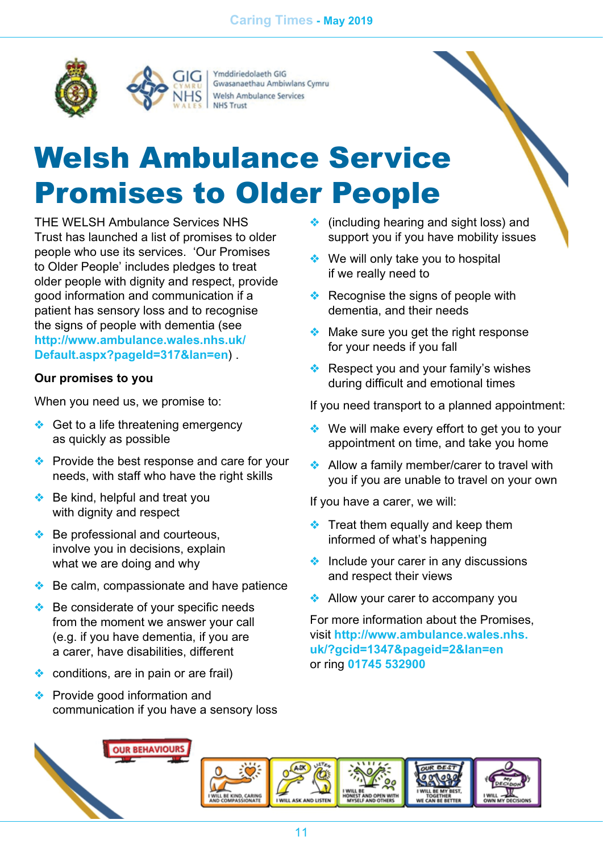

Ymddiriedolaeth GIG Gwasanaethau Ambiwlans Cymru Welsh Ambulance Services **NHS Trust** 

## Welsh Ambulance Service Promises to Older People

*THE WELSH Ambulance Services NHS Trust has launched a list of promises to older people who use its services. 'Our Promises to Older People' includes pledges to treat older people with dignity and respect, provide good information and communication if a patient has sensory loss and to recognise the signs of people with dementia (see [http://www.ambulance.wales.nhs.uk/](http://www.ambulance.wales.nhs.uk/Default.aspx?pageId=317&lan=en) [Default.aspx?pageId=317&lan=en](http://www.ambulance.wales.nhs.uk/Default.aspx?pageId=317&lan=en)) .*

#### *Our promises to you*

*When you need us, we promise to:* 

- ❖ *Get to a life threatening emergency as quickly as possible*
- ❖ *Provide the best response and care for your needs, with staff who have the right skills*
- ❖ *Be kind, helpful and treat you with dignity and respect*
- ❖ *Be professional and courteous, involve you in decisions, explain what we are doing and why*
- ❖ *Be calm, compassionate and have patience*
- ❖ *Be considerate of your specific needs from the moment we answer your call (e.g. if you have dementia, if you are a carer, have disabilities, different*
- ❖ *conditions, are in pain or are frail)*
- ❖ *Provide good information and communication if you have a sensory loss*
- ❖ *(including hearing and sight loss) and support you if you have mobility issues*
- ❖ *We will only take you to hospital if we really need to*
- ❖ *Recognise the signs of people with dementia, and their needs*
- ❖ *Make sure you get the right response for your needs if you fall*
- ❖ *Respect you and your family's wishes during difficult and emotional times*

*If you need transport to a planned appointment:* 

- ❖ *We will make every effort to get you to your appointment on time, and take you home*
- ❖ *Allow a family member/carer to travel with you if you are unable to travel on your own*

*If you have a carer, we will:* 

- ❖ *Treat them equally and keep them informed of what's happening*
- ❖ *Include your carer in any discussions and respect their views*
- ❖ *Allow your carer to accompany you*

*For more information about the Promises, visit [http://www.ambulance.wales.nhs.](http://www.ambulance.wales.nhs.uk/?gcid=1347&pageid=2&lan=en) [uk/?gcid=1347&pageid=2&lan=en](http://www.ambulance.wales.nhs.uk/?gcid=1347&pageid=2&lan=en) or ring 01745 532900*